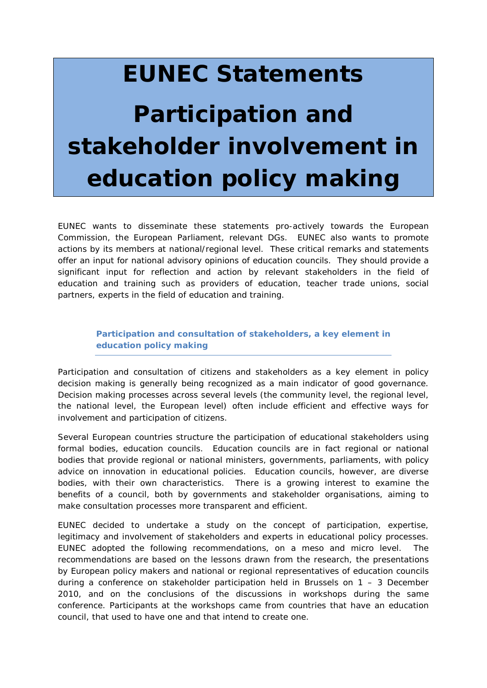## **EUNEC Statements**

## **Participation and stakeholder involvement in education policy making**

*EUNEC wants to disseminate these statements pro-actively towards the European Commission, the European Parliament, relevant DGs. EUNEC also wants to promote actions by its members at national/regional level. These critical remarks and statements offer an input for national advisory opinions of education councils. They should provide a significant input for reflection and action by relevant stakeholders in the field of education and training such as providers of education, teacher trade unions, social partners, experts in the field of education and training.*

*Participation and consultation of stakeholders, a key element in education policy making*

Participation and consultation of citizens and stakeholders as a key element in policy decision making is generally being recognized as a main indicator of good governance. Decision making processes across several levels (the community level, the regional level, the national level, the European level) often include efficient and effective ways for involvement and participation of citizens.

Several European countries structure the participation of educational stakeholders using formal bodies, education councils. Education councils are in fact regional or national bodies that provide regional or national ministers, governments, parliaments, with policy advice on innovation in educational policies. Education councils, however, are diverse bodies, with their own characteristics. There is a growing interest to examine the benefits of a council, both by governments and stakeholder organisations, aiming to make consultation processes more transparent and efficient.

EUNEC decided to undertake a study on the concept of participation, expertise, legitimacy and involvement of stakeholders and experts in educational policy processes. EUNEC adopted the following recommendations, on a meso and micro level. The recommendations are based on the lessons drawn from the research, the presentations by European policy makers and national or regional representatives of education councils during a conference on stakeholder participation held in Brussels on 1 – 3 December 2010, and on the conclusions of the discussions in workshops during the same conference. Participants at the workshops came from countries that have an education council, that used to have one and that intend to create one.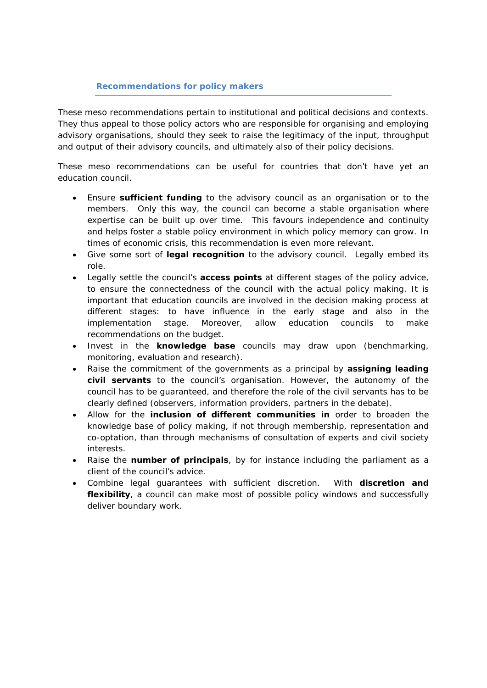## *Recommendations for policy makers*

These meso recommendations pertain to institutional and political decisions and contexts. They thus appeal to those policy actors who are responsible for organising and employing advisory organisations, should they seek to raise the legitimacy of the input, throughput and output of their advisory councils, and ultimately also of their policy decisions.

These meso recommendations can be useful for countries that don't have yet an education council.

- Ensure **sufficient funding** to the advisory council as an organisation or to the members. Only this way, the council can become a stable organisation where expertise can be built up over time. This favours independence and continuity and helps foster a stable policy environment in which policy memory can grow. In times of economic crisis, this recommendation is even more relevant.
- Give some sort of **legal recognition** to the advisory council. Legally embed its role.
- Legally settle the council's **access points** at different stages of the policy advice, to ensure the connectedness of the council with the actual policy making. It is important that education councils are involved in the decision making process at different stages: to have influence in the early stage and also in the implementation stage. Moreover, allow education councils to make recommendations on the budget.
- Invest in the **knowledge base** councils may draw upon (benchmarking, monitoring, evaluation and research).
- Raise the commitment of the governments as a principal by **assigning leading civil servants** to the council's organisation. However, the autonomy of the council has to be guaranteed, and therefore the role of the civil servants has to be clearly defined (observers, information providers, partners in the debate).
- Allow for the **inclusion of different communities in** order to broaden the knowledge base of policy making, if not through membership, representation and co-optation, than through mechanisms of consultation of experts and civil society interests.
- Raise the **number of principals**, by for instance including the parliament as a client of the council's advice.
- Combine legal guarantees with sufficient discretion. With **discretion and flexibility**, a council can make most of possible policy windows and successfully deliver boundary work.